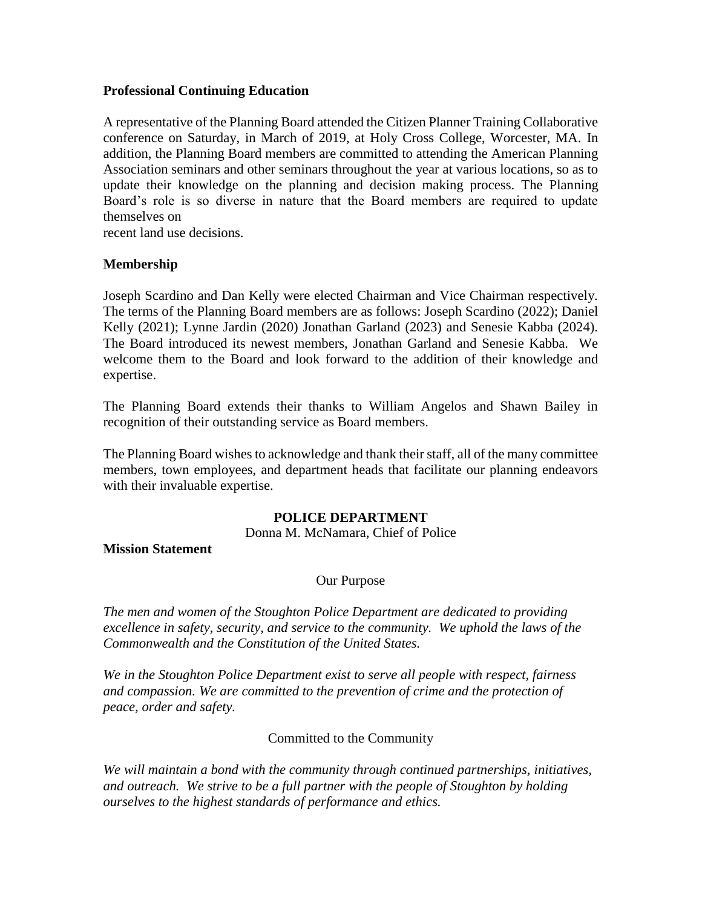### **Professional Continuing Education**

A representative of the Planning Board attended the Citizen Planner Training Collaborative conference on Saturday, in March of 2019, at Holy Cross College, Worcester, MA. In addition, the Planning Board members are committed to attending the American Planning Association seminars and other seminars throughout the year at various locations, so as to update their knowledge on the planning and decision making process. The Planning Board's role is so diverse in nature that the Board members are required to update themselves on

recent land use decisions.

# **Membership**

Joseph Scardino and Dan Kelly were elected Chairman and Vice Chairman respectively. The terms of the Planning Board members are as follows: Joseph Scardino (2022); Daniel Kelly (2021); Lynne Jardin (2020) Jonathan Garland (2023) and Senesie Kabba (2024). The Board introduced its newest members, Jonathan Garland and Senesie Kabba. We welcome them to the Board and look forward to the addition of their knowledge and expertise.

The Planning Board extends their thanks to William Angelos and Shawn Bailey in recognition of their outstanding service as Board members.

The Planning Board wishes to acknowledge and thank their staff, all of the many committee members, town employees, and department heads that facilitate our planning endeavors with their invaluable expertise.

## **POLICE DEPARTMENT**

Donna M. McNamara, Chief of Police

**Mission Statement**

## Our Purpose

*The men and women of the Stoughton Police Department are dedicated to providing excellence in safety, security, and service to the community. We uphold the laws of the Commonwealth and the Constitution of the United States.*

*We in the Stoughton Police Department exist to serve all people with respect, fairness and compassion. We are committed to the prevention of crime and the protection of peace, order and safety.*

## Committed to the Community

*We will maintain a bond with the community through continued partnerships, initiatives, and outreach. We strive to be a full partner with the people of Stoughton by holding ourselves to the highest standards of performance and ethics.*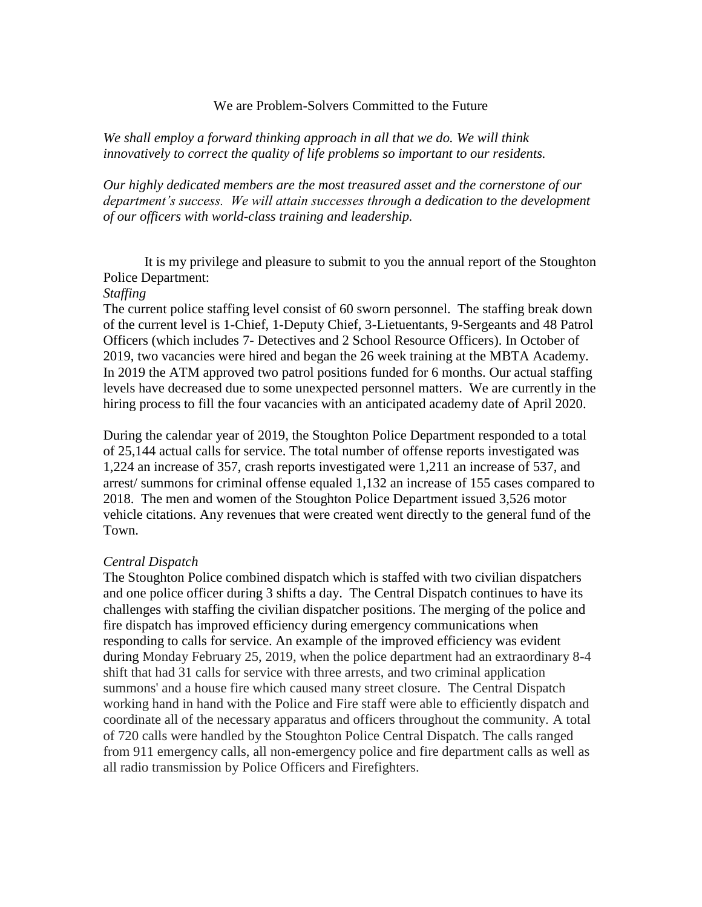#### We are Problem-Solvers Committed to the Future

*We shall employ a forward thinking approach in all that we do. We will think innovatively to correct the quality of life problems so important to our residents.* 

*Our highly dedicated members are the most treasured asset and the cornerstone of our department's success. We will attain successes through a dedication to the development of our officers with world-class training and leadership.*

It is my privilege and pleasure to submit to you the annual report of the Stoughton Police Department:

#### *Staffing*

The current police staffing level consist of 60 sworn personnel. The staffing break down of the current level is 1-Chief, 1-Deputy Chief, 3-Lietuentants, 9-Sergeants and 48 Patrol Officers (which includes 7- Detectives and 2 School Resource Officers). In October of 2019, two vacancies were hired and began the 26 week training at the MBTA Academy. In 2019 the ATM approved two patrol positions funded for 6 months. Our actual staffing levels have decreased due to some unexpected personnel matters. We are currently in the hiring process to fill the four vacancies with an anticipated academy date of April 2020.

During the calendar year of 2019, the Stoughton Police Department responded to a total of 25,144 actual calls for service. The total number of offense reports investigated was 1,224 an increase of 357, crash reports investigated were 1,211 an increase of 537, and arrest/ summons for criminal offense equaled 1,132 an increase of 155 cases compared to 2018. The men and women of the Stoughton Police Department issued 3,526 motor vehicle citations. Any revenues that were created went directly to the general fund of the Town.

#### *Central Dispatch*

The Stoughton Police combined dispatch which is staffed with two civilian dispatchers and one police officer during 3 shifts a day. The Central Dispatch continues to have its challenges with staffing the civilian dispatcher positions. The merging of the police and fire dispatch has improved efficiency during emergency communications when responding to calls for service. An example of the improved efficiency was evident during Monday February 25, 2019, when the police department had an extraordinary 8-4 shift that had 31 calls for service with three arrests, and two criminal application summons' and a house fire which caused many street closure. The Central Dispatch working hand in hand with the Police and Fire staff were able to efficiently dispatch and coordinate all of the necessary apparatus and officers throughout the community. A total of 720 calls were handled by the Stoughton Police Central Dispatch. The calls ranged from 911 emergency calls, all non-emergency police and fire department calls as well as all radio transmission by Police Officers and Firefighters.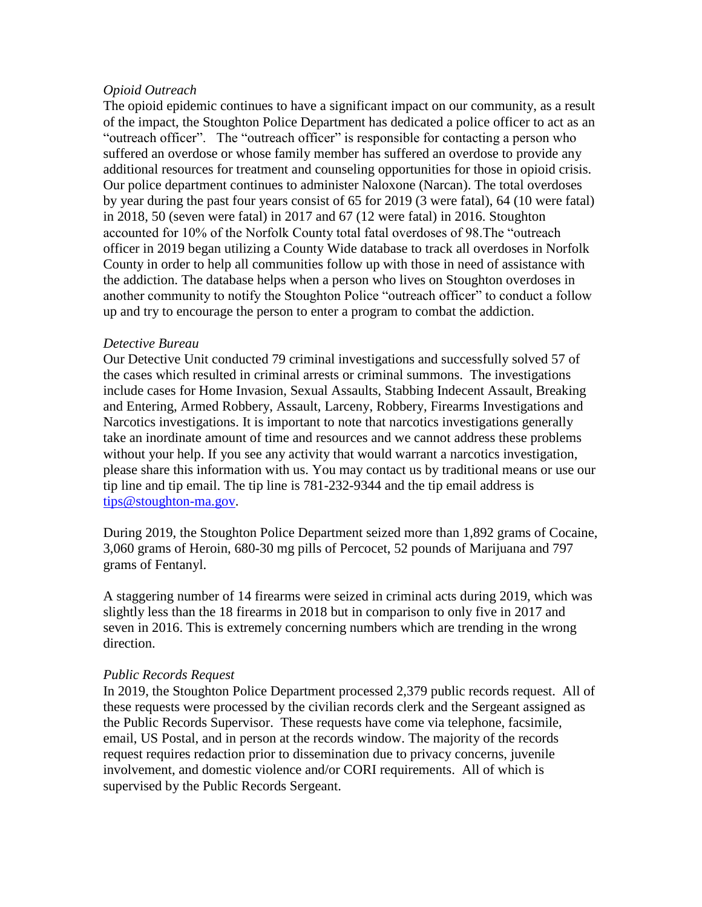### *Opioid Outreach*

The opioid epidemic continues to have a significant impact on our community, as a result of the impact, the Stoughton Police Department has dedicated a police officer to act as an "outreach officer". The "outreach officer" is responsible for contacting a person who suffered an overdose or whose family member has suffered an overdose to provide any additional resources for treatment and counseling opportunities for those in opioid crisis. Our police department continues to administer Naloxone (Narcan). The total overdoses by year during the past four years consist of 65 for 2019 (3 were fatal), 64 (10 were fatal) in 2018, 50 (seven were fatal) in 2017 and 67 (12 were fatal) in 2016. Stoughton accounted for 10% of the Norfolk County total fatal overdoses of 98.The "outreach officer in 2019 began utilizing a County Wide database to track all overdoses in Norfolk County in order to help all communities follow up with those in need of assistance with the addiction. The database helps when a person who lives on Stoughton overdoses in another community to notify the Stoughton Police "outreach officer" to conduct a follow up and try to encourage the person to enter a program to combat the addiction.

### *Detective Bureau*

Our Detective Unit conducted 79 criminal investigations and successfully solved 57 of the cases which resulted in criminal arrests or criminal summons. The investigations include cases for Home Invasion, Sexual Assaults, Stabbing Indecent Assault, Breaking and Entering, Armed Robbery, Assault, Larceny, Robbery, Firearms Investigations and Narcotics investigations. It is important to note that narcotics investigations generally take an inordinate amount of time and resources and we cannot address these problems without your help. If you see any activity that would warrant a narcotics investigation, please share this information with us. You may contact us by traditional means or use our tip line and tip email. The tip line is 781-232-9344 and the tip email address is tips@stoughton-ma.gov.

During 2019, the Stoughton Police Department seized more than 1,892 grams of Cocaine, 3,060 grams of Heroin, 680-30 mg pills of Percocet, 52 pounds of Marijuana and 797 grams of Fentanyl.

A staggering number of 14 firearms were seized in criminal acts during 2019, which was slightly less than the 18 firearms in 2018 but in comparison to only five in 2017 and seven in 2016. This is extremely concerning numbers which are trending in the wrong direction.

## *Public Records Request*

In 2019, the Stoughton Police Department processed 2,379 public records request. All of these requests were processed by the civilian records clerk and the Sergeant assigned as the Public Records Supervisor. These requests have come via telephone, facsimile, email, US Postal, and in person at the records window. The majority of the records request requires redaction prior to dissemination due to privacy concerns, juvenile involvement, and domestic violence and/or CORI requirements. All of which is supervised by the Public Records Sergeant.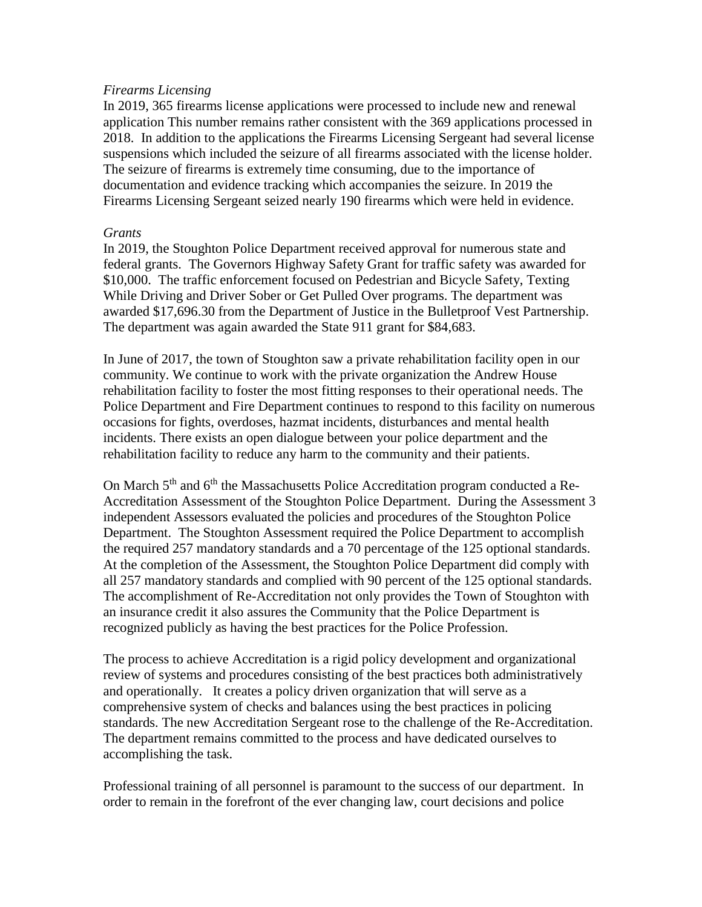### *Firearms Licensing*

In 2019, 365 firearms license applications were processed to include new and renewal application This number remains rather consistent with the 369 applications processed in 2018. In addition to the applications the Firearms Licensing Sergeant had several license suspensions which included the seizure of all firearms associated with the license holder. The seizure of firearms is extremely time consuming, due to the importance of documentation and evidence tracking which accompanies the seizure. In 2019 the Firearms Licensing Sergeant seized nearly 190 firearms which were held in evidence.

### *Grants*

In 2019, the Stoughton Police Department received approval for numerous state and federal grants. The Governors Highway Safety Grant for traffic safety was awarded for \$10,000. The traffic enforcement focused on Pedestrian and Bicycle Safety, Texting While Driving and Driver Sober or Get Pulled Over programs. The department was awarded \$17,696.30 from the Department of Justice in the Bulletproof Vest Partnership. The department was again awarded the State 911 grant for \$84,683.

In June of 2017, the town of Stoughton saw a private rehabilitation facility open in our community. We continue to work with the private organization the Andrew House rehabilitation facility to foster the most fitting responses to their operational needs. The Police Department and Fire Department continues to respond to this facility on numerous occasions for fights, overdoses, hazmat incidents, disturbances and mental health incidents. There exists an open dialogue between your police department and the rehabilitation facility to reduce any harm to the community and their patients.

On March 5<sup>th</sup> and 6<sup>th</sup> the Massachusetts Police Accreditation program conducted a Re-Accreditation Assessment of the Stoughton Police Department. During the Assessment 3 independent Assessors evaluated the policies and procedures of the Stoughton Police Department. The Stoughton Assessment required the Police Department to accomplish the required 257 mandatory standards and a 70 percentage of the 125 optional standards. At the completion of the Assessment, the Stoughton Police Department did comply with all 257 mandatory standards and complied with 90 percent of the 125 optional standards. The accomplishment of Re-Accreditation not only provides the Town of Stoughton with an insurance credit it also assures the Community that the Police Department is recognized publicly as having the best practices for the Police Profession.

The process to achieve Accreditation is a rigid policy development and organizational review of systems and procedures consisting of the best practices both administratively and operationally. It creates a policy driven organization that will serve as a comprehensive system of checks and balances using the best practices in policing standards. The new Accreditation Sergeant rose to the challenge of the Re-Accreditation. The department remains committed to the process and have dedicated ourselves to accomplishing the task.

Professional training of all personnel is paramount to the success of our department. In order to remain in the forefront of the ever changing law, court decisions and police